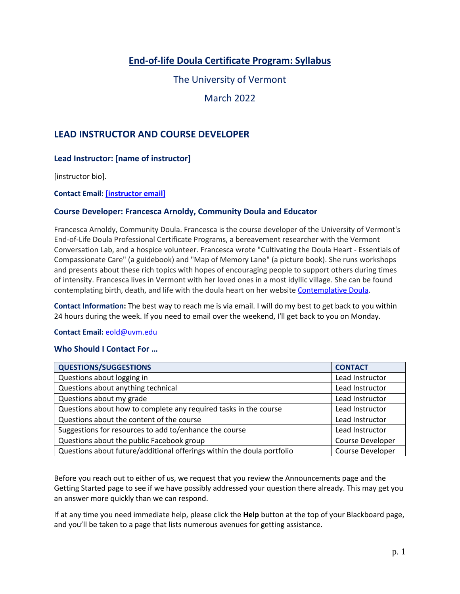# **End-of-life Doula Certificate Program: Syllabus**

The University of Vermont

March 2022

## **LEAD INSTRUCTOR AND COURSE DEVELOPER**

## **Lead Instructor: [name of instructor]**

[instructor bio].

#### **Contact Email[: \[instructor](mailto:98jashle@uvm.edu) email]**

#### **Course Developer: Francesca Arnoldy, Community Doula and Educator**

Francesca Arnoldy, Community Doula. Francesca is the course developer of the University of Vermont's End-of-Life Doula Professional Certificate Programs, a bereavement researcher with the Vermont Conversation Lab, and a hospice volunteer. Francesca wrote "Cultivating the Doula Heart - Essentials of Compassionate Care" (a guidebook) and "Map of Memory Lane" (a picture book). She runs workshops and presents about these rich topics with hopes of encouraging people to support others during times of intensity. Francesca lives in Vermont with her loved ones in a most idyllic village. She can be found contemplating birth, death, and life with the doula heart on her website [Contemplative Doula.](https://contemplativedoula.com/)

**Contact Information:** The best way to reach me is via email. I will do my best to get back to you within 24 hours during the week. If you need to email over the weekend, I'll get back to you on Monday.

#### **Contact Email:** [eold@uvm.edu](mailto:eold@uvm.edu)

#### **Who Should I Contact For …**

| <b>QUESTIONS/SUGGESTIONS</b>                                           | <b>CONTACT</b>   |
|------------------------------------------------------------------------|------------------|
| Questions about logging in                                             | Lead Instructor  |
| Questions about anything technical                                     | Lead Instructor  |
| Questions about my grade                                               | Lead Instructor  |
| Questions about how to complete any required tasks in the course       | Lead Instructor  |
| Questions about the content of the course                              | Lead Instructor  |
| Suggestions for resources to add to/enhance the course                 | Lead Instructor  |
| Questions about the public Facebook group                              | Course Developer |
| Questions about future/additional offerings within the doula portfolio | Course Developer |

Before you reach out to either of us, we request that you review the Announcements page and the Getting Started page to see if we have possibly addressed your question there already. This may get you an answer more quickly than we can respond.

If at any time you need immediate help, please click the **Help** button at the top of your Blackboard page, and you'll be taken to a page that lists numerous avenues for getting assistance.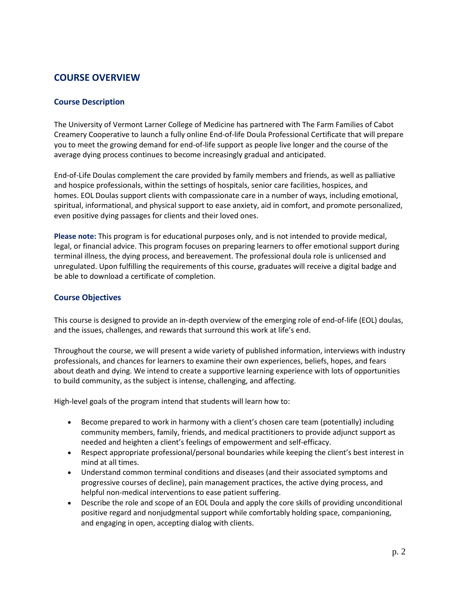## **COURSE OVERVIEW**

## **Course Description**

The University of Vermont Larner College of Medicine has partnered with The Farm Families of Cabot Creamery Cooperative to launch a fully online End-of-life Doula Professional Certificate that will prepare you to meet the growing demand for end-of-life support as people live longer and the course of the average dying process continues to become increasingly gradual and anticipated.

End-of-Life Doulas complement the care provided by family members and friends, as well as palliative and hospice professionals, within the settings of hospitals, senior care facilities, hospices, and homes. EOL Doulas support clients with compassionate care in a number of ways, including emotional, spiritual, informational, and physical support to ease anxiety, aid in comfort, and promote personalized, even positive dying passages for clients and their loved ones.

**Please note:** This program is for educational purposes only, and is not intended to provide medical, legal, or financial advice. This program focuses on preparing learners to offer emotional support during terminal illness, the dying process, and bereavement. The professional doula role is unlicensed and unregulated. Upon fulfilling the requirements of this course, graduates will receive a digital badge and be able to download a certificate of completion.

#### **Course Objectives**

This course is designed to provide an in-depth overview of the emerging role of end-of-life (EOL) doulas, and the issues, challenges, and rewards that surround this work at life's end.

Throughout the course, we will present a wide variety of published information, interviews with industry professionals, and chances for learners to examine their own experiences, beliefs, hopes, and fears about death and dying. We intend to create a supportive learning experience with lots of opportunities to build community, as the subject is intense, challenging, and affecting.

High-level goals of the program intend that students will learn how to:

- Become prepared to work in harmony with a client's chosen care team (potentially) including community members, family, friends, and medical practitioners to provide adjunct support as needed and heighten a client's feelings of empowerment and self-efficacy.
- Respect appropriate professional/personal boundaries while keeping the client's best interest in mind at all times.
- Understand common terminal conditions and diseases (and their associated symptoms and progressive courses of decline), pain management practices, the active dying process, and helpful non-medical interventions to ease patient suffering.
- Describe the role and scope of an EOL Doula and apply the core skills of providing unconditional positive regard and nonjudgmental support while comfortably holding space, companioning, and engaging in open, accepting dialog with clients.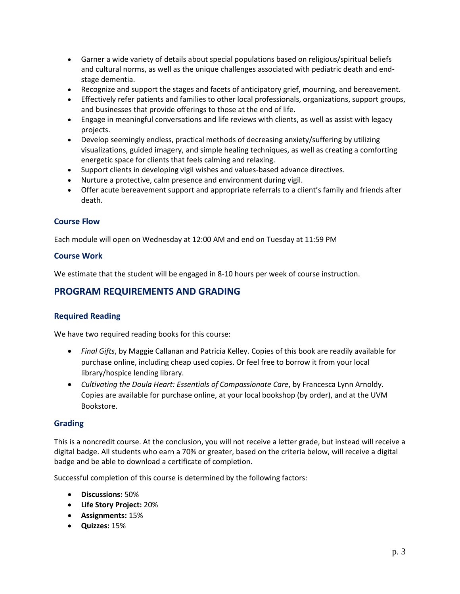- Garner a wide variety of details about special populations based on religious/spiritual beliefs and cultural norms, as well as the unique challenges associated with pediatric death and endstage dementia.
- Recognize and support the stages and facets of anticipatory grief, mourning, and bereavement.
- Effectively refer patients and families to other local professionals, organizations, support groups, and businesses that provide offerings to those at the end of life.
- Engage in meaningful conversations and life reviews with clients, as well as assist with legacy projects.
- Develop seemingly endless, practical methods of decreasing anxiety/suffering by utilizing visualizations, guided imagery, and simple healing techniques, as well as creating a comforting energetic space for clients that feels calming and relaxing.
- Support clients in developing vigil wishes and values-based advance directives.
- Nurture a protective, calm presence and environment during vigil.
- Offer acute bereavement support and appropriate referrals to a client's family and friends after death.

## **Course Flow**

Each module will open on Wednesday at 12:00 AM and end on Tuesday at 11:59 PM

#### **Course Work**

We estimate that the student will be engaged in 8-10 hours per week of course instruction.

## **PROGRAM REQUIREMENTS AND GRADING**

## **Required Reading**

We have two required reading books for this course:

- *Final Gifts*, by Maggie Callanan and Patricia Kelley. Copies of this book are readily available for purchase online, including cheap used copies. Or feel free to borrow it from your local library/hospice lending library.
- *Cultivating the Doula Heart: Essentials of Compassionate Care*, by Francesca Lynn Arnoldy. Copies are available for purchase online, at your local bookshop (by order), and at the UVM Bookstore.

#### **Grading**

This is a noncredit course. At the conclusion, you will not receive a letter grade, but instead will receive a digital badge. All students who earn a 70% or greater, based on the criteria below, will receive a digital badge and be able to download a certificate of completion.

Successful completion of this course is determined by the following factors:

- **Discussions:** 50%
- **Life Story Project:** 20%
- **Assignments:** 15%
- **Quizzes:** 15%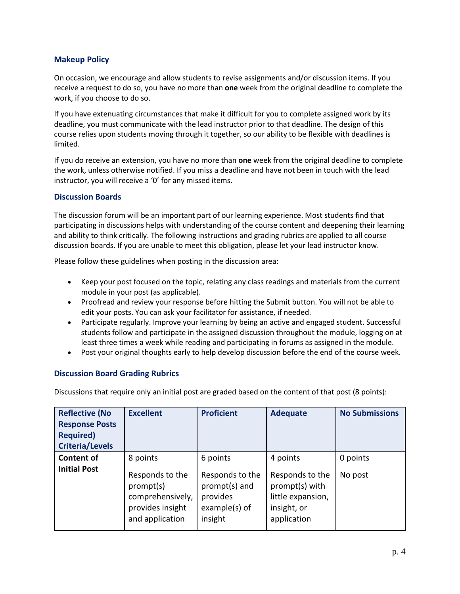## **Makeup Policy**

On occasion, we encourage and allow students to revise assignments and/or discussion items. If you receive a request to do so, you have no more than **one** week from the original deadline to complete the work, if you choose to do so.

If you have extenuating circumstances that make it difficult for you to complete assigned work by its deadline, you must communicate with the lead instructor prior to that deadline. The design of this course relies upon students moving through it together, so our ability to be flexible with deadlines is limited.

If you do receive an extension, you have no more than **one** week from the original deadline to complete the work, unless otherwise notified. If you miss a deadline and have not been in touch with the lead instructor, you will receive a '0' for any missed items.

#### **Discussion Boards**

The discussion forum will be an important part of our learning experience. Most students find that participating in discussions helps with understanding of the course content and deepening their learning and ability to think critically. The following instructions and grading rubrics are applied to all course discussion boards. If you are unable to meet this obligation, please let your lead instructor know.

Please follow these guidelines when posting in the discussion area:

- Keep your post focused on the topic, relating any class readings and materials from the current module in your post (as applicable).
- Proofread and review your response before hitting the Submit button. You will not be able to edit your posts. You can ask your facilitator for assistance, if needed.
- Participate regularly. Improve your learning by being an active and engaged student. Successful students follow and participate in the assigned discussion throughout the module, logging on at least three times a week while reading and participating in forums as assigned in the module.
- Post your original thoughts early to help develop discussion before the end of the course week.

## **Discussion Board Grading Rubrics**

Discussions that require only an initial post are graded based on the content of that post (8 points):

| <b>Reflective (No</b><br><b>Response Posts</b><br><b>Required)</b><br><b>Criteria/Levels</b> | <b>Excellent</b>                                                                                    | <b>Proficient</b>                                                                    | <b>Adequate</b>                                                                                  | <b>No Submissions</b> |
|----------------------------------------------------------------------------------------------|-----------------------------------------------------------------------------------------------------|--------------------------------------------------------------------------------------|--------------------------------------------------------------------------------------------------|-----------------------|
| <b>Content of</b><br><b>Initial Post</b>                                                     | 8 points<br>Responds to the<br>prompt(s)<br>comprehensively,<br>provides insight<br>and application | 6 points<br>Responds to the<br>prompt(s) and<br>provides<br>example(s) of<br>insight | 4 points<br>Responds to the<br>prompt(s) with<br>little expansion,<br>insight, or<br>application | 0 points<br>No post   |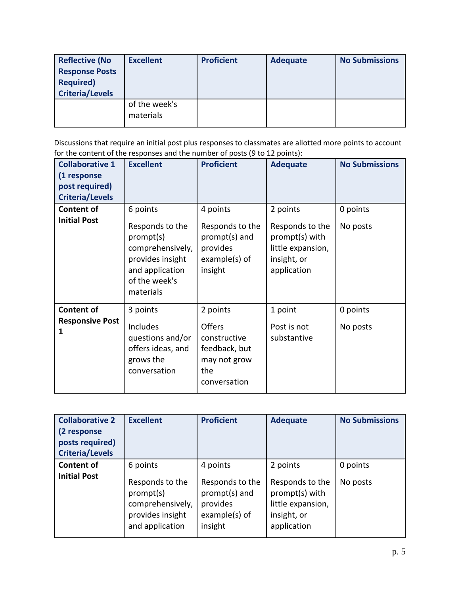| <b>Reflective (No</b><br><b>Response Posts</b><br><b>Required)</b><br><b>Criteria/Levels</b> | <b>Excellent</b>           | <b>Proficient</b> | <b>Adequate</b> | <b>No Submissions</b> |
|----------------------------------------------------------------------------------------------|----------------------------|-------------------|-----------------|-----------------------|
|                                                                                              | of the week's<br>materials |                   |                 |                       |

Discussions that require an initial post plus responses to classmates are allotted more points to account for the content of the responses and the number of posts (9 to 12 points):

| <b>Collaborative 1</b><br>(1 response<br>post required)<br><b>Criteria/Levels</b> | <b>Excellent</b>                                                                                                                  | <b>Proficient</b>                                                                                 | <b>Adequate</b>                                                                                  | <b>No Submissions</b> |
|-----------------------------------------------------------------------------------|-----------------------------------------------------------------------------------------------------------------------------------|---------------------------------------------------------------------------------------------------|--------------------------------------------------------------------------------------------------|-----------------------|
| <b>Content of</b><br><b>Initial Post</b>                                          | 6 points<br>Responds to the<br>prompt(s)<br>comprehensively,<br>provides insight<br>and application<br>of the week's<br>materials | 4 points<br>Responds to the<br>prompt(s) and<br>provides<br>example(s) of<br>insight              | 2 points<br>Responds to the<br>prompt(s) with<br>little expansion,<br>insight, or<br>application | 0 points<br>No posts  |
| <b>Content of</b><br><b>Responsive Post</b><br>1                                  | 3 points<br>Includes<br>questions and/or<br>offers ideas, and<br>grows the<br>conversation                                        | 2 points<br><b>Offers</b><br>constructive<br>feedback, but<br>may not grow<br>the<br>conversation | 1 point<br>Post is not<br>substantive                                                            | 0 points<br>No posts  |

| <b>Collaborative 2</b><br>(2 response<br>posts required)<br><b>Criteria/Levels</b> | <b>Excellent</b>                                                                                    | <b>Proficient</b>                                                                    | <b>Adequate</b>                                                                                  | <b>No Submissions</b> |
|------------------------------------------------------------------------------------|-----------------------------------------------------------------------------------------------------|--------------------------------------------------------------------------------------|--------------------------------------------------------------------------------------------------|-----------------------|
| <b>Content of</b><br><b>Initial Post</b>                                           | 6 points<br>Responds to the<br>prompt(s)<br>comprehensively,<br>provides insight<br>and application | 4 points<br>Responds to the<br>prompt(s) and<br>provides<br>example(s) of<br>insight | 2 points<br>Responds to the<br>prompt(s) with<br>little expansion,<br>insight, or<br>application | 0 points<br>No posts  |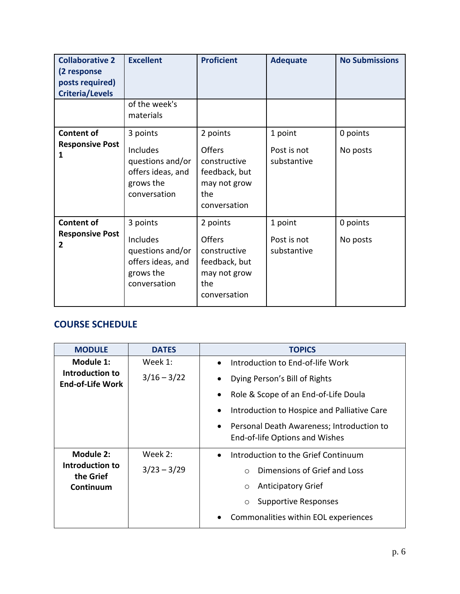| <b>Collaborative 2</b><br>(2 response<br>posts required)<br><b>Criteria/Levels</b> | <b>Excellent</b><br>of the week's                                                          | <b>Proficient</b>                                                                                 | <b>Adequate</b>                       | <b>No Submissions</b> |
|------------------------------------------------------------------------------------|--------------------------------------------------------------------------------------------|---------------------------------------------------------------------------------------------------|---------------------------------------|-----------------------|
|                                                                                    | materials                                                                                  |                                                                                                   |                                       |                       |
| <b>Content of</b><br><b>Responsive Post</b><br>1                                   | 3 points<br>Includes<br>questions and/or<br>offers ideas, and<br>grows the<br>conversation | 2 points<br><b>Offers</b><br>constructive<br>feedback, but<br>may not grow<br>the<br>conversation | 1 point<br>Post is not<br>substantive | 0 points<br>No posts  |
| <b>Content of</b><br><b>Responsive Post</b><br>$\overline{2}$                      | 3 points<br>Includes<br>questions and/or<br>offers ideas, and<br>grows the<br>conversation | 2 points<br><b>Offers</b><br>constructive<br>feedback, but<br>may not grow<br>the<br>conversation | 1 point<br>Post is not<br>substantive | 0 points<br>No posts  |

# **COURSE SCHEDULE**

| <b>MODULE</b>                              | <b>DATES</b>  | <b>TOPICS</b>                                                                 |
|--------------------------------------------|---------------|-------------------------------------------------------------------------------|
| Module 1:                                  | Week 1:       | Introduction to End-of-life Work                                              |
| Introduction to<br><b>End-of-Life Work</b> | $3/16 - 3/22$ | Dying Person's Bill of Rights<br>$\bullet$                                    |
|                                            |               | Role & Scope of an End-of-Life Doula                                          |
|                                            |               | Introduction to Hospice and Palliative Care                                   |
|                                            |               | • Personal Death Awareness; Introduction to<br>End-of-life Options and Wishes |
| <b>Module 2:</b>                           | Week 2:       | Introduction to the Grief Continuum                                           |
| Introduction to<br>the Grief               | $3/23 - 3/29$ | Dimensions of Grief and Loss<br>$\bigcap$                                     |
| Continuum                                  |               | <b>Anticipatory Grief</b><br>$\circ$                                          |
|                                            |               | <b>Supportive Responses</b><br>$\circ$                                        |
|                                            |               | Commonalities within EOL experiences<br>$\bullet$                             |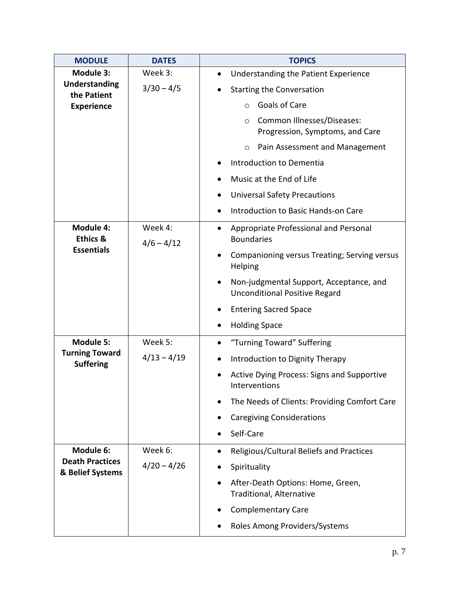| <b>MODULE</b>                              | <b>DATES</b>            | <b>TOPICS</b>                                                                   |
|--------------------------------------------|-------------------------|---------------------------------------------------------------------------------|
| Module 3:                                  | Week 3:                 | Understanding the Patient Experience<br>$\bullet$                               |
| <b>Understanding</b><br>the Patient        | $3/30 - 4/5$            | <b>Starting the Conversation</b>                                                |
| <b>Experience</b>                          |                         | Goals of Care<br>O                                                              |
|                                            |                         | Common Illnesses/Diseases:<br>$\circ$<br>Progression, Symptoms, and Care        |
|                                            |                         | Pain Assessment and Management<br>$\circ$                                       |
|                                            |                         | Introduction to Dementia                                                        |
|                                            |                         | Music at the End of Life                                                        |
|                                            |                         | <b>Universal Safety Precautions</b>                                             |
|                                            |                         | Introduction to Basic Hands-on Care                                             |
| Module 4:<br><b>Ethics &amp;</b>           | Week 4:<br>$4/6 - 4/12$ | Appropriate Professional and Personal<br><b>Boundaries</b>                      |
| <b>Essentials</b>                          |                         | Companioning versus Treating; Serving versus<br>Helping                         |
|                                            |                         | Non-judgmental Support, Acceptance, and<br><b>Unconditional Positive Regard</b> |
|                                            |                         | <b>Entering Sacred Space</b>                                                    |
|                                            |                         | <b>Holding Space</b>                                                            |
| <b>Module 5:</b>                           | Week 5:                 | "Turning Toward" Suffering                                                      |
| <b>Turning Toward</b><br><b>Suffering</b>  | $4/13 - 4/19$           | Introduction to Dignity Therapy                                                 |
|                                            |                         | <b>Active Dying Process: Signs and Supportive</b><br>Interventions              |
|                                            |                         | The Needs of Clients: Providing Comfort Care                                    |
|                                            |                         | <b>Caregiving Considerations</b>                                                |
|                                            |                         | Self-Care                                                                       |
| Module 6:                                  | Week 6:                 | Religious/Cultural Beliefs and Practices                                        |
| <b>Death Practices</b><br>& Belief Systems | $4/20 - 4/26$           | Spirituality                                                                    |
|                                            |                         | After-Death Options: Home, Green,<br>Traditional, Alternative                   |
|                                            |                         | <b>Complementary Care</b>                                                       |
|                                            |                         | Roles Among Providers/Systems                                                   |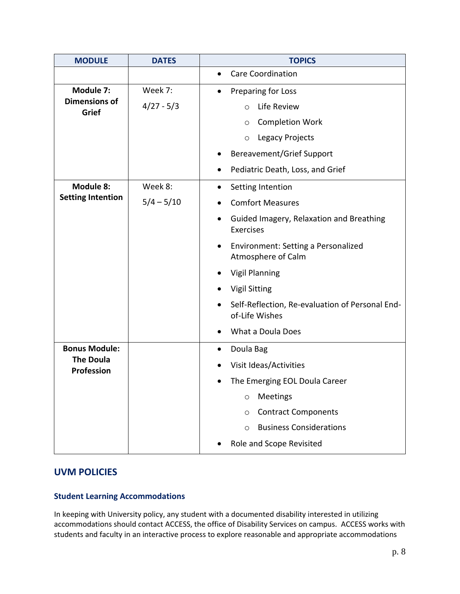| <b>MODULE</b>                         | <b>DATES</b> | <b>TOPICS</b>                                                             |  |
|---------------------------------------|--------------|---------------------------------------------------------------------------|--|
|                                       |              | <b>Care Coordination</b><br>$\bullet$                                     |  |
| Module 7:                             | Week 7:      | Preparing for Loss<br>$\bullet$                                           |  |
| <b>Dimensions of</b><br>Grief         | $4/27 - 5/3$ | Life Review<br>$\Omega$                                                   |  |
|                                       |              | <b>Completion Work</b><br>$\circ$                                         |  |
|                                       |              | <b>Legacy Projects</b><br>$\circ$                                         |  |
|                                       |              | <b>Bereavement/Grief Support</b>                                          |  |
|                                       |              | Pediatric Death, Loss, and Grief                                          |  |
| Module 8:                             | Week 8:      | Setting Intention<br>$\bullet$                                            |  |
| <b>Setting Intention</b>              | $5/4 - 5/10$ | <b>Comfort Measures</b><br>$\bullet$                                      |  |
|                                       |              | Guided Imagery, Relaxation and Breathing<br>$\bullet$<br><b>Exercises</b> |  |
|                                       |              | Environment: Setting a Personalized<br>$\bullet$<br>Atmosphere of Calm    |  |
|                                       |              | <b>Vigil Planning</b>                                                     |  |
|                                       |              | <b>Vigil Sitting</b>                                                      |  |
|                                       |              | Self-Reflection, Re-evaluation of Personal End-<br>of-Life Wishes         |  |
|                                       |              | What a Doula Does                                                         |  |
| <b>Bonus Module:</b>                  |              | Doula Bag<br>$\bullet$                                                    |  |
| <b>The Doula</b><br><b>Profession</b> |              | Visit Ideas/Activities                                                    |  |
|                                       |              | The Emerging EOL Doula Career                                             |  |
|                                       |              | Meetings<br>O                                                             |  |
|                                       |              | <b>Contract Components</b><br>O                                           |  |
|                                       |              | <b>Business Considerations</b><br>$\circ$                                 |  |
|                                       |              | Role and Scope Revisited                                                  |  |

## **UVM POLICIES**

## **Student Learning Accommodations**

In keeping with University policy, any student with a documented disability interested in utilizing accommodations should contact ACCESS, the office of Disability Services on campus. ACCESS works with students and faculty in an interactive process to explore reasonable and appropriate accommodations